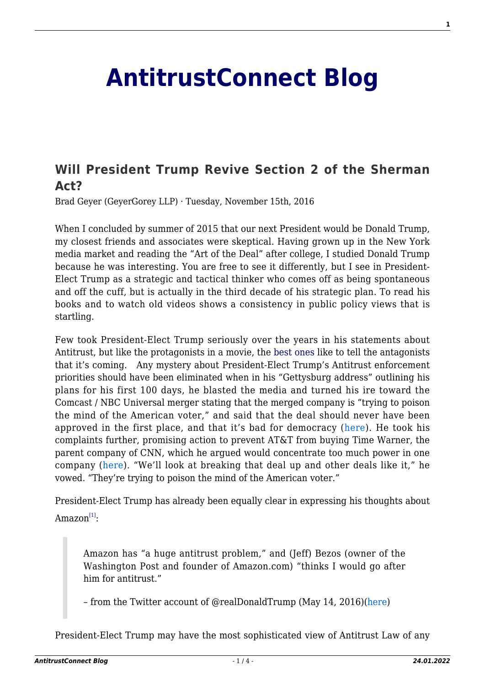## **[AntitrustConnect Blog](http://antitrustconnect.com/)**

## **[Will President Trump Revive Section 2 of the Sherman](http://antitrustconnect.com/2016/11/15/will-president-trump-revive-section-2-of-the-sherman-act/) [Act?](http://antitrustconnect.com/2016/11/15/will-president-trump-revive-section-2-of-the-sherman-act/)**

Brad Geyer (GeyerGorey LLP) · Tuesday, November 15th, 2016

When I concluded by summer of 2015 that our next President would be Donald Trump, my closest friends and associates were skeptical. Having grown up in the New York media market and reading the "Art of the Deal" after college, I studied Donald Trump because he was interesting. You are free to see it differently, but I see in President-Elect Trump as a strategic and tactical thinker who comes off as being spontaneous and off the cuff, but is actually in the third decade of his strategic plan. To read his books and to watch old videos shows a consistency in public policy views that is startling.

Few took President-Elect Trump seriously over the years in his statements about Antitrust, but like the protagonists in a movie, the [best ones](https://www.youtube.com/watch?v=Q73gUUr8Zlw) like to tell the antagonists that it's coming. Any mystery about President-Elect Trump's Antitrust enforcement priorities should have been eliminated when in his "Gettysburg address" outlining his plans for his first 100 days, he blasted the media and turned his ire toward the Comcast / NBC Universal merger stating that the merged company is "trying to poison the mind of the American voter," and said that the deal should never have been approved in the first place, and that it's bad for democracy ([here\)](https://www.yahoo.com/tech/m/dd5999d2-584b-3107-82a3-3a84a37edf41/trump-says-comcast-and-nbc.html). He took his complaints further, promising action to prevent AT&T from buying Time Warner, the parent company of CNN, which he argued would concentrate too much power in one company ([here\)](http://www.cnn.com/2016/10/21/politics/donald-trump-gettysburg-speech-first-100-days/). "We'll look at breaking that deal up and other deals like it," he vowed. "They're trying to poison the mind of the American voter."

President-Elect Trump has already been equally clear in expressing his thoughts about  $\mathrm{Amaxon}^{\left[1\right]}\text{:}$ 

Amazon has "a huge antitrust problem," and (Jeff) Bezos (owner of the Washington Post and founder of Amazon.com) "thinks I would go after him for antitrust."

– from the Twitter account of @realDonaldTrump (May 14, 2016)[\(here](https://www.youtube.com/watch?v=LPtp_jBNDP8&feature=youtu.be&t=15m30s))

President-Elect Trump may have the most sophisticated view of Antitrust Law of any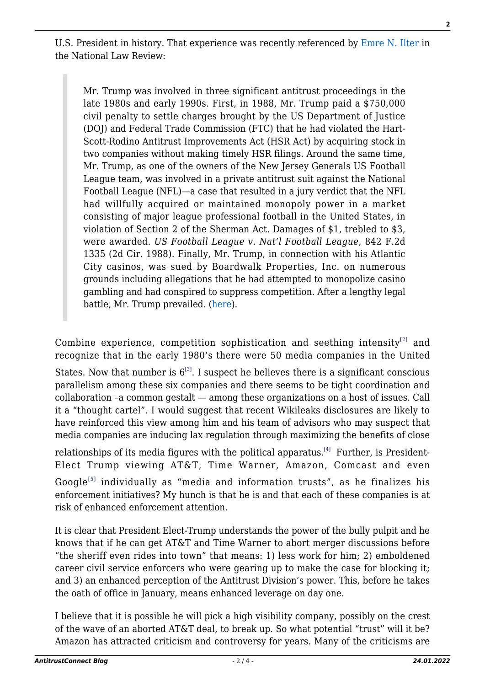U.S. President in history. That experience was recently referenced by [Emre N. Ilter](https://www.mwe.com/en/team/i/ilter-emre-n) in the National Law Review:

Mr. Trump was involved in three significant antitrust proceedings in the late 1980s and early 1990s. First, in 1988, Mr. Trump paid a \$750,000 civil penalty to settle charges brought by the US Department of Justice (DOJ) and Federal Trade Commission (FTC) that he had violated the Hart-Scott-Rodino Antitrust Improvements Act (HSR Act) by acquiring stock in two companies without making timely HSR filings. Around the same time, Mr. Trump, as one of the owners of the New Jersey Generals US Football League team, was involved in a private antitrust suit against the National Football League (NFL)—a case that resulted in a jury verdict that the NFL had willfully acquired or maintained monopoly power in a market consisting of major league professional football in the United States, in violation of Section 2 of the Sherman Act. Damages of \$1, trebled to \$3, were awarded. *US Football League v. Nat'l Football League*, 842 F.2d 1335 (2d Cir. 1988). Finally, Mr. Trump, in connection with his Atlantic City casinos, was sued by Boardwalk Properties, Inc. on numerous grounds including allegations that he had attempted to monopolize casino gambling and had conspired to suppress competition. After a lengthy legal battle, Mr. Trump prevailed. [\(here](http://www.natlawreview.com/article/election-2016-trump-antitrust)).

Combine experience, competition sophistication and seething intensity<sup>[\[2\]](#page-3-0)</sup> and recognize that in the early 1980's there were 50 media companies in the United

States. Now that number is  $6^{3}$ . I suspect he believes there is a significant conscious parallelism among these six companies and there seems to be tight coordination and collaboration –a common gestalt — among these organizations on a host of issues. Call it a "thought cartel". I would suggest that recent Wikileaks disclosures are likely to have reinforced this view among him and his team of advisors who may suspect that media companies are inducing lax regulation through maximizing the benefits of close

relationships of its media figures with the political apparatus.<sup>[\[4\]](#page-3-0)</sup> Further, is President-Elect Trump viewing AT&T, Time Warner, Amazon, Comcast and even  $Google^{[5]}$  $Google^{[5]}$  $Google^{[5]}$  individually as "media and information trusts", as he finalizes his enforcement initiatives? My hunch is that he is and that each of these companies is at risk of enhanced enforcement attention.

It is clear that President Elect-Trump understands the power of the bully pulpit and he knows that if he can get AT&T and Time Warner to abort merger discussions before "the sheriff even rides into town" that means: 1) less work for him; 2) emboldened career civil service enforcers who were gearing up to make the case for blocking it; and 3) an enhanced perception of the Antitrust Division's power. This, before he takes the oath of office in January, means enhanced leverage on day one.

I believe that it is possible he will pick a high visibility company, possibly on the crest of the wave of an aborted AT&T deal, to break up. So what potential "trust" will it be? Amazon has attracted criticism and controversy for years. Many of the criticisms are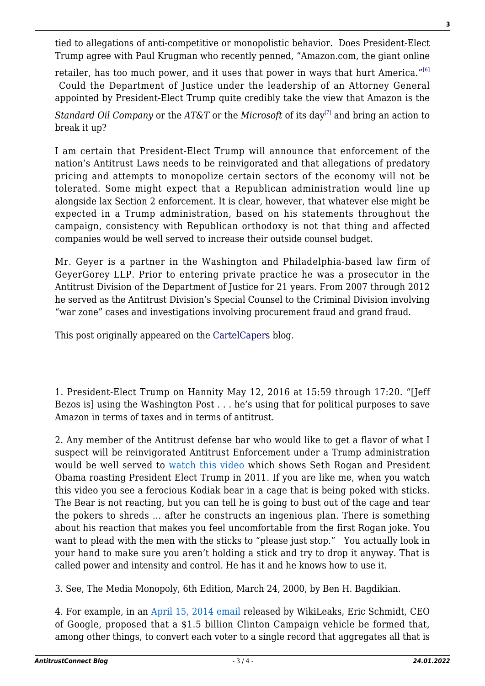tied to allegations of anti-competitive or monopolistic behavior. Does President-Elect Trump agree with Paul Krugman who recently penned, "Amazon.com, the giant online

retailer, has too much power, and it uses that power in ways that hurt America."<sup>[\[6\]](#page-3-0)</sup> Could the Department of Justice under the leadership of an Attorney General appointed by President-Elect Trump quite credibly take the view that Amazon is the

*Standard Oil Company* or the *AT&T* or the *Microsoft* of its day<sup>[\[7\]](#page-3-0)</sup> and bring an action to break it up?

I am certain that President-Elect Trump will announce that enforcement of the nation's Antitrust Laws needs to be reinvigorated and that allegations of predatory pricing and attempts to monopolize certain sectors of the economy will not be tolerated. Some might expect that a Republican administration would line up alongside lax Section 2 enforcement. It is clear, however, that whatever else might be expected in a Trump administration, based on his statements throughout the campaign, consistency with Republican orthodoxy is not that thing and affected companies would be well served to increase their outside counsel budget.

Mr. Geyer is a partner in the Washington and Philadelphia-based law firm of GeyerGorey LLP. Prior to entering private practice he was a prosecutor in the Antitrust Division of the Department of Justice for 21 years. From 2007 through 2012 he served as the Antitrust Division's Special Counsel to the Criminal Division involving "war zone" cases and investigations involving procurement fraud and grand fraud.

This post originally appeared on the [CartelCapers](http://cartelcapers.com/) blog.

<span id="page-2-0"></span>1. President-Elect Trump on Hannity May 12, 2016 at 15:59 through 17:20. "[Jeff Bezos is] using the Washington Post . . . he's using that for political purposes to save Amazon in terms of taxes and in terms of antitrust.

2. Any member of the Antitrust defense bar who would like to get a flavor of what I suspect will be reinvigorated Antitrust Enforcement under a Trump administration would be well served to [watch this video](https://twitter.com/businessinsider/status/796406250833518593) which shows Seth Rogan and President Obama roasting President Elect Trump in 2011. If you are like me, when you watch this video you see a ferocious Kodiak bear in a cage that is being poked with sticks. The Bear is not reacting, but you can tell he is going to bust out of the cage and tear the pokers to shreds … after he constructs an ingenious plan. There is something about his reaction that makes you feel uncomfortable from the first Rogan joke. You want to plead with the men with the sticks to "please just stop." You actually look in your hand to make sure you aren't holding a stick and try to drop it anyway. That is called power and intensity and control. He has it and he knows how to use it.

3. See, The Media Monopoly, 6th Edition, March 24, 2000, by Ben H. Bagdikian.

4. For example, in an [April 15, 2014 email](https://wikileaks.org/podesta-emails/emailid/37262) released by WikiLeaks, Eric Schmidt, CEO of Google, proposed that a \$1.5 billion Clinton Campaign vehicle be formed that, among other things, to convert each voter to a single record that aggregates all that is **3**